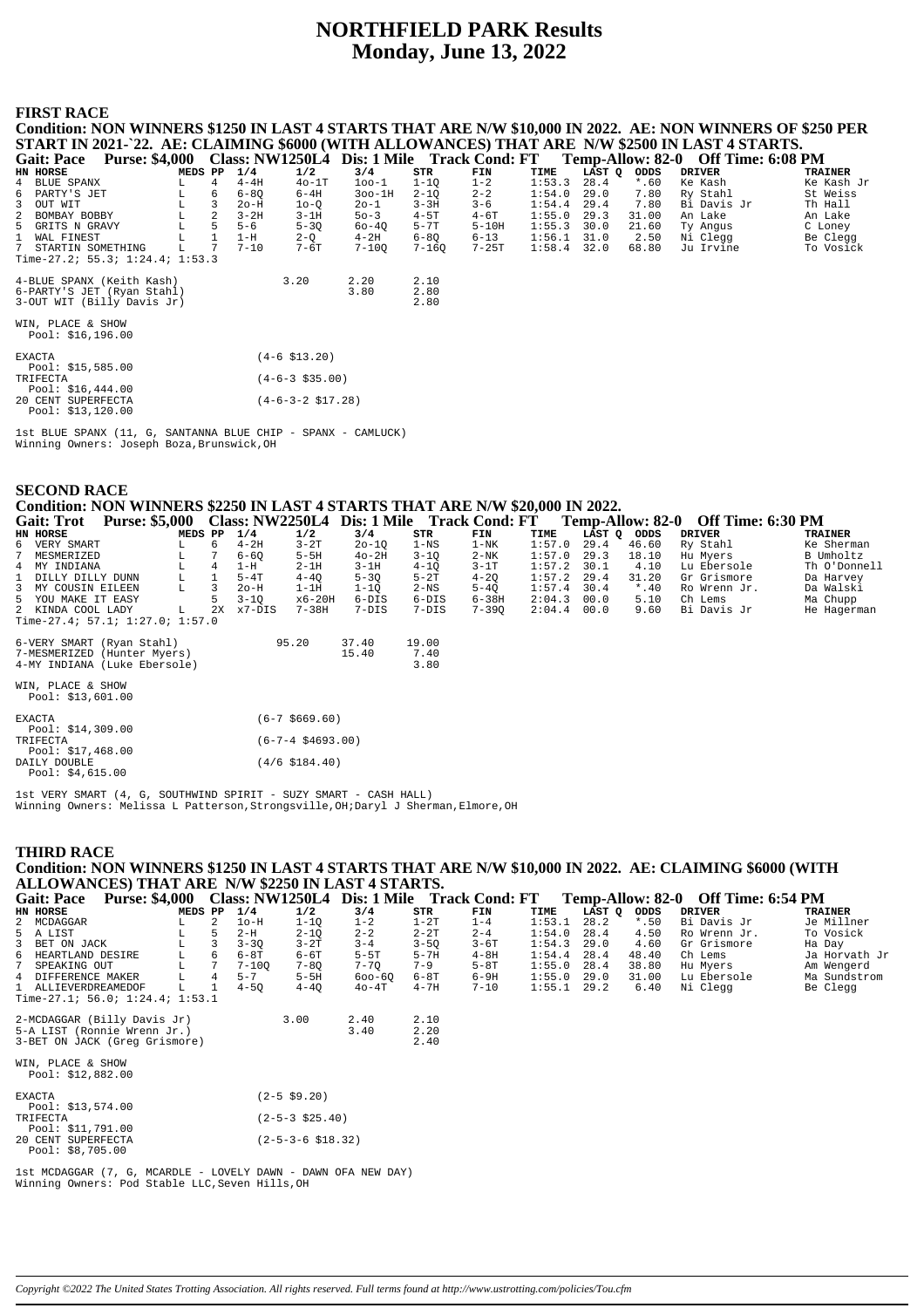# **NORTHFIELD PARK Results Monday, June 13, 2022**

#### **FIRST RACE**

| Condition: NON WINNERS \$1250 IN LAST 4 STARTS THAT ARE N/W \$10,000 IN 2022. AE: NON WINNERS OF \$250 PER |         |                 |          |                              |           |           |          |        |        |         |                                                                               |                |
|------------------------------------------------------------------------------------------------------------|---------|-----------------|----------|------------------------------|-----------|-----------|----------|--------|--------|---------|-------------------------------------------------------------------------------|----------------|
| START IN 2021-`22. AE: CLAIMING \$6000 (WITH ALLOWANCES) THAT ARE N/W \$2500 IN LAST 4 STARTS.             |         |                 |          |                              |           |           |          |        |        |         |                                                                               |                |
| <b>Purse: \$4,000</b><br><b>Gait: Pace</b>                                                                 |         |                 |          |                              |           |           |          |        |        |         | Class: NW1250L4 Dis: 1 Mile Track Cond: FT Temp-Allow: 82-0 Off Time: 6:08 PM |                |
| HN HORSE                                                                                                   | MEDS PP |                 | 1/4      | 1/2                          | 3/4       | STR       | FIN      | TIME   | LAST Q | ODDS    | <b>DRIVER</b>                                                                 | <b>TRAINER</b> |
| 4 BLUE SPANX                                                                                               | L.      | $\overline{4}$  | $4-4H$   | $40-1T$                      | $100-1$   | $1 - 10$  | $1 - 2$  | 1:53.3 | 28.4   | $*$ .60 | Ke Kash                                                                       | Ke Kash Jr     |
| 6 PARTY'S JET                                                                                              | L       | 6               | $6 - 80$ | $6-4H$                       | $300-1H$  | $2 - 10$  | $2 - 2$  | 1:54.0 | 29.0   | 7.80    | Ry Stahl                                                                      | St Weiss       |
| 3 OUT WIT                                                                                                  |         | 3               | $2o-H$   | $10-0$                       | $20 - 1$  | $3 - 3H$  | $3 - 6$  | 1:54.4 | 29.4   | 7.80    | Bi Davis Jr                                                                   | Th Hall        |
| 2 BOMBAY BOBBY                                                                                             | L       | 2               | $3-2H$   | $3-1H$                       | $50 - 3$  | $4-5T$    | $4-6T$   | 1:55.0 | 29.3   | 31.00   | An Lake                                                                       | An Lake        |
| 5 GRITS N GRAVY                                                                                            | L       | 5               | $5 - 6$  | $5 - 30$                     | 60-40     | $5 - 7T$  | $5-10H$  | 1:55.3 | 30.0   | 21.60   | Ty Angus                                                                      | C Loney        |
| 1 WAL FINEST                                                                                               |         | $\mathbf{1}$    | $1-H$    | $2-Q$                        | $4-2H$    | $6 - 80$  | $6 - 13$ | 1:56.1 | 31.0   | 2.50    | Ni Clegg                                                                      | Be Clegg       |
| 7 STARTIN SOMETHING                                                                                        |         | $7\phantom{.0}$ | $7 - 10$ | $7-6T$                       | $7 - 100$ | $7 - 160$ | $7-25T$  | 1:58.4 | 32.0   | 68.80   | Ju Irvine                                                                     | To Vosick      |
| Time-27.2; 55.3; $1:24.4$ ; $1:53.3$                                                                       |         |                 |          |                              |           |           |          |        |        |         |                                                                               |                |
|                                                                                                            |         |                 |          |                              |           |           |          |        |        |         |                                                                               |                |
| 4-BLUE SPANX (Keith Kash)                                                                                  |         |                 |          | 3.20                         | 2.20      | 2.10      |          |        |        |         |                                                                               |                |
| 6-PARTY'S JET (Ryan Stahl)                                                                                 |         |                 |          |                              | 3.80      | 2.80      |          |        |        |         |                                                                               |                |
| 3-OUT WIT (Billy Davis Jr)                                                                                 |         |                 |          |                              |           | 2.80      |          |        |        |         |                                                                               |                |
| WIN, PLACE & SHOW                                                                                          |         |                 |          |                              |           |           |          |        |        |         |                                                                               |                |
| Pool: \$16,196.00                                                                                          |         |                 |          |                              |           |           |          |        |        |         |                                                                               |                |
|                                                                                                            |         |                 |          |                              |           |           |          |        |        |         |                                                                               |                |
| <b>EXACTA</b>                                                                                              |         |                 |          | $(4-6 \; $13.20)$            |           |           |          |        |        |         |                                                                               |                |
| Pool: \$15,585.00                                                                                          |         |                 |          |                              |           |           |          |        |        |         |                                                                               |                |
| TRIFECTA                                                                                                   |         |                 |          | $(4-6-3$ \$35.00)            |           |           |          |        |        |         |                                                                               |                |
| Pool: $$16,444.00$                                                                                         |         |                 |          |                              |           |           |          |        |        |         |                                                                               |                |
| 20 CENT SUPERFECTA                                                                                         |         |                 |          | $(4-6-3-2 \; \text{S}17.28)$ |           |           |          |        |        |         |                                                                               |                |
| Pool: \$13,120.00                                                                                          |         |                 |          |                              |           |           |          |        |        |         |                                                                               |                |
|                                                                                                            |         |                 |          |                              |           |           |          |        |        |         |                                                                               |                |
| $1$ ר באמוז (11 מיטה) היה המונח שונות המונח המונח ה-11 מיטה ה-1 מיטה ה-1                                   |         |                 |          |                              |           |           |          |        |        |         |                                                                               |                |

- SPANX - CAMLUCK) 1st BLUE SPANX (11, G, SANTANNA BLUE CHIP<br>Winning Owners: Joseph Boza, Brunswick, OH

| <b>SECOND RACE</b>                                                                                      |         |              |          |                          |           |          |           |        |             |         |               |                |  |  |
|---------------------------------------------------------------------------------------------------------|---------|--------------|----------|--------------------------|-----------|----------|-----------|--------|-------------|---------|---------------|----------------|--|--|
| Condition: NON WINNERS \$2250 IN LAST 4 STARTS THAT ARE N/W \$20,000 IN 2022.                           |         |              |          |                          |           |          |           |        |             |         |               |                |  |  |
| Gait: Trot Purse: \$5,000 Class: NW2250L4 Dis: 1 Mile Track Cond: FT Temp-Allow: 82-0 Off Time: 6:30 PM |         |              |          |                          |           |          |           |        |             |         |               |                |  |  |
| HN HORSE                                                                                                | MEDS PP |              | 1/4      | 1/2                      | 3/4       | STR      | FIN       | TIME   | LAST Q ODDS |         | <b>DRIVER</b> | <b>TRAINER</b> |  |  |
| 6<br>VERY SMART                                                                                         |         | 6            | $4-2H$   | $3-2T$                   | $20 - 10$ | $1 - NS$ | $1 - NK$  | 1:57.0 | 29.4        | 46.60   | Ry Stahl      | Ke Sherman     |  |  |
| MESMERIZED                                                                                              | L       |              | $6 - 6Q$ | $5-5H$                   | $40-2H$   | $3 - 1Q$ | $2-NK$    | 1:57.0 | 29.3        | 18.10   | Hu Myers      | B Umholtz      |  |  |
| 4 MY INDIANA                                                                                            |         | 4            | $1-H$    | $2-1H$                   | $3-1H$    | $4 - 1Q$ | $3-1T$    | 1:57.2 | 30.1        | 4.10    | Lu Ebersole   | Th O'Donnell   |  |  |
| DILLY DILLY DUNN                                                                                        | L       | $\mathbf{1}$ | $5-4T$   | $4 - 4Q$                 | $5 - 3Q$  | $5-2T$   | $4 - 20$  | 1:57.2 | 29.4        | 31.20   | Gr Grismore   | Da Harvey      |  |  |
| MY COUSIN EILEEN<br>3                                                                                   | L       | 3            | $2o-H$   | $1-1H$                   | $1-1Q$    | 2-NS     | $5-4Q$    | 1:57.4 | 30.4        | $*$ .40 | Ro Wrenn Jr.  | Da Walski      |  |  |
| 5 YOU MAKE IT EASY                                                                                      |         | 5            | $3 - 10$ | x6-20H                   | 6-DIS     | 6-DIS    | 6-38H     | 2:04.3 | 00.0        | 5.10    | Ch Lems       | Ma Chupp       |  |  |
| 2 KINDA COOL LADY<br>Time-27.4; 57.1; 1:27.0; 1:57.0                                                    | L       | 2X           | $x7-DIS$ | 7-38H                    | $7-DIS$   | $7-DIS$  | $7 - 390$ | 2:04.4 | 00.0        | 9.60    | Bi Davis Jr   | He Hagerman    |  |  |
|                                                                                                         |         |              |          |                          |           |          |           |        |             |         |               |                |  |  |
| 6-VERY SMART (Ryan Stahl)                                                                               |         |              |          | 95.20                    | 37.40     | 19.00    |           |        |             |         |               |                |  |  |
| 7-MESMERIZED (Hunter Myers)                                                                             |         |              |          |                          | 15.40     | 7.40     |           |        |             |         |               |                |  |  |
| 4-MY INDIANA (Luke Ebersole)                                                                            |         |              |          |                          |           | 3.80     |           |        |             |         |               |                |  |  |
|                                                                                                         |         |              |          |                          |           |          |           |        |             |         |               |                |  |  |
| WIN, PLACE & SHOW                                                                                       |         |              |          |                          |           |          |           |        |             |         |               |                |  |  |
| Pool: $$13,601.00$                                                                                      |         |              |          |                          |           |          |           |        |             |         |               |                |  |  |
|                                                                                                         |         |              |          |                          |           |          |           |        |             |         |               |                |  |  |
| <b>EXACTA</b>                                                                                           |         |              |          | $(6-7, $669.60)$         |           |          |           |        |             |         |               |                |  |  |
| Pool: \$14,309.00                                                                                       |         |              |          |                          |           |          |           |        |             |         |               |                |  |  |
| TRIFECTA<br>Pool: $$17,468.00$                                                                          |         |              |          | $(6 - 7 - 4 \ $4693.00)$ |           |          |           |        |             |         |               |                |  |  |
| DAILY DOUBLE                                                                                            |         |              |          | $(4/6 \; $184.40)$       |           |          |           |        |             |         |               |                |  |  |
| Pool: $$4,615.00$                                                                                       |         |              |          |                          |           |          |           |        |             |         |               |                |  |  |

lst VERY SMART (4, G, SOUTHWIND SPIRIT - SUZY SMART - CASH HALL)<br>Winning Owners: Melissa L Patterson,Strongsville,OH;Daryl J Sherman,Elmore,OH

### **THIRD RACE**

Condition: NON WINNERS \$1250 IN LAST 4 STARTS THAT ARE N/W \$10,000 IN 2022. AE: CLAIMING \$6000 (WITH<br>ALLOWANCES) THAT ARE N/W \$2250 IN LAST 4 STARTS.<br>Gait: Pace Purse: \$4,000 Class: NW1250L4 Dis: 1 Mile Track Cond: FT Temp

| <b>TRAINER</b><br>Je Millner |
|------------------------------|
|                              |
|                              |
| To Vosick                    |
| Ha Day                       |
| Ja Horvath Jr                |
| Am Wengerd                   |
| Ma Sundstrom                 |
| Be Clegg                     |
|                              |
|                              |
|                              |
|                              |
|                              |
|                              |
|                              |

| Pool: \$12,882.00                       |                                   |
|-----------------------------------------|-----------------------------------|
| <b>EXACTA</b><br>Pool: $$13,574.00$     | $(2 - 5 \ $9.20)$                 |
| TRIFECTA                                | $(2-5-3 \; $25.40)$               |
| Pool: \$11,791.00<br>20 CENT SUPERFECTA | $(2 - 5 - 3 - 6 \text{ } $18.32)$ |
| Pool: \$8,705.00                        |                                   |

1st MCDAGGAR (7, G, MCARDLE - LOVELY DAWN - DAWN OFA NEW DAY)<br>Winning Owners: Pod Stable LLC, Seven Hills, OH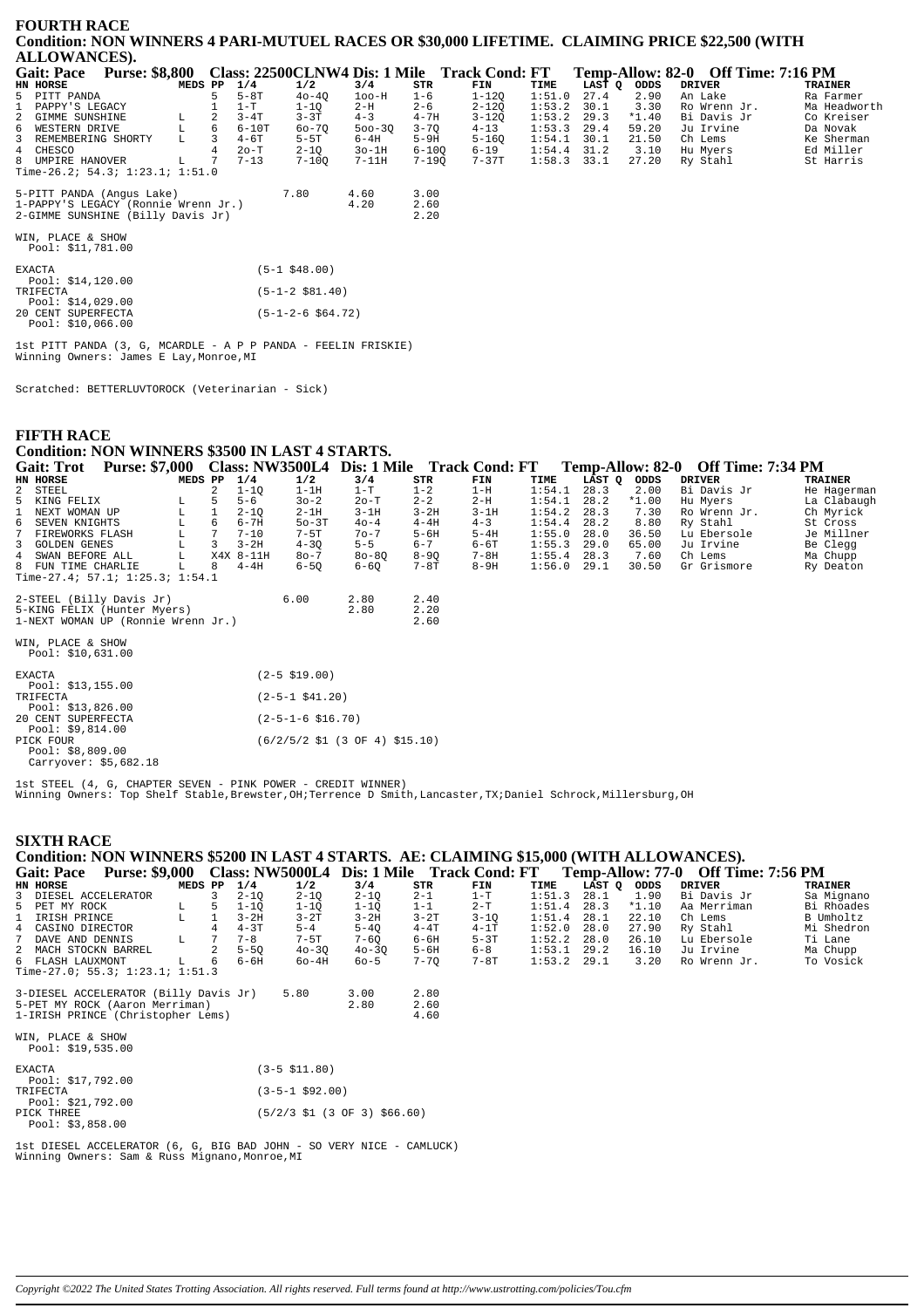### **FOURTH RACE Condition: NON WINNERS 4 PARI-MUTUEL RACES OR \$30,000 LIFETIME. CLAIMING PRICE \$22,500 (WITH ALLOWANCES).**

| <b>Gait: Pace</b>                                                                                     | <b>Purse: \$8,800</b> |         |    |          |           |              |                      | Class: 22500CLNW4 Dis: 1 Mile Track Cond: FT |               |        |         | Temp-Allow: 82-0 Off Time: 7:16 PM |              |
|-------------------------------------------------------------------------------------------------------|-----------------------|---------|----|----------|-----------|--------------|----------------------|----------------------------------------------|---------------|--------|---------|------------------------------------|--------------|
| HN HORSE                                                                                              |                       | MEDS PP |    | 1/4      | 1/2       | 3/4          | STR                  | FIN                                          | TIME          | LAST O | ODDS    | DRIVER                             | TRAINER      |
| 5 PITT PANDA                                                                                          |                       |         |    | $5-8T$   | $40 - 40$ | $100-H$      | $1 - 6$              | $1 - 120$                                    | 1:51.0        | 27.4   | 2.90    | An Lake                            | Ra Farmer    |
| 1 PAPPY'S LEGACY                                                                                      |                       |         |    | $1-T$    | $1 - 10$  | $2-H$        | $2 - 6$              | $2 - 120$                                    | 1:53.2        | 30.1   | 3.30    | Ro Wrenn Jr.                       | Ma Headworth |
| 2 GIMME SUNSHINE                                                                                      |                       | L.      |    | $3 - 4T$ | $3 - 3T$  | $4 - 3$      | $4 - 7H$             | $3 - 120$                                    | 1:53.2        | 29.3   | $*1.40$ | Bi Davis Jr                        | Co Kreiser   |
| 6 WESTERN DRIVE                                                                                       |                       | L.      | 6. | $6-10T$  | $60 - 70$ | $500 - 30$   | $3 - 70$             | $4 - 13$                                     | 1:53.3        | 29.4   | 59.20   | Ju Irvine                          | Da Novak     |
| 3 REMEMBERING SHORTY                                                                                  |                       | T.      | 3  | $4 - 6T$ | $5-5T$    | $6-4H$       | $5-9H$               | $5 - 160$                                    | 1:54.1        | 30.1   | 21.50   | Ch Lems                            | Ke Sherman   |
| 4 CHESCO                                                                                              |                       |         |    | $2o-T$   | $2 - 10$  | $3o-1H$      | $6 - 100$            | $6 - 19$                                     | 1:54.4        | 31.2   | 3.10    | Hu Mvers                           | Ed Miller    |
| 8 UMPIRE HANOVER                                                                                      |                       | L.      |    | $7 - 13$ | $7 - 100$ | $7-11H$      | 7-190                | 7-37T                                        | $1:58.3$ 33.1 |        | 27.20   | Ry Stahl                           | St Harris    |
| Time-26.2; 54.3; 1:23.1; 1:51.0                                                                       |                       |         |    |          |           |              |                      |                                              |               |        |         |                                    |              |
| 5-PITT PANDA (Angus Lake)<br>1-PAPPY'S LEGACY (Ronnie Wrenn Jr.)<br>2-GIMME SUNSHINE (Billy Davis Jr) |                       |         |    |          | 7.80      | 4.60<br>4.20 | 3.00<br>2.60<br>2.20 |                                              |               |        |         |                                    |              |

WIN, PLACE & SHOW Pool: \$11,781.00

| <b>EXACTA</b>      | $(5-1$ \$48.00)      |
|--------------------|----------------------|
| Pool: \$14,120.00  |                      |
| TRIFECTA           | $(5-1-2 \ $81.40)$   |
| Pool: \$14,029.00  |                      |
| 20 CENT SUPERFECTA | $(5-1-2-6 \t$64.72)$ |
| Pool: $$10,066.00$ |                      |

1st PITT PANDA (3, G, MCARDLE - A P P PANDA - FEELIN FRISKIE) Winning Owners: James E Lay,Monroe,MI

Scratched: BETTERLUVTOROCK (Veterinarian - Sick)

### **FIFTH RACE**

# **Condition: NON WINNERS \$3500 IN LAST 4 STARTS.**

|   | <b>Gait: Trot</b>                       | <b>Purse: \$7,000</b> |   |                |           | <b>Class: NW3500L4</b> |           |          | Dis: 1 Mile Track Cond: FT |        | Temp-Allow: 82-0 |         | <b>Off Time: 7:34 PM</b> |                |
|---|-----------------------------------------|-----------------------|---|----------------|-----------|------------------------|-----------|----------|----------------------------|--------|------------------|---------|--------------------------|----------------|
|   | HN HORSE                                |                       |   | MEDS PP        | 1/4       | 1/2                    | 3/4       | STR      | FIN                        | TIME   | LAST O           | ODDS    | <b>DRIVER</b>            | <b>TRAINER</b> |
|   | 2 STEEL                                 |                       |   | $\overline{a}$ | $1 - 10$  | 1-1H                   | $1-T$     | $1 - 2$  | 1-H                        | 1:54.1 | 28.3             | 2.00    | Bi Davis Jr              | He Hagerman    |
|   | 5 KING FELIX                            |                       | L | 5              | $5 - 6$   | $30 - 2$               | $2o-T$    | $2 - 2$  | $2-H$                      | 1:54.1 | 28.2             | $*1.00$ | Hu Myers                 | La Clabaugh    |
|   | 1 NEXT WOMAN UP                         |                       | L |                | $2 - 10$  | $2-1H$                 | $3-1H$    | $3 - 2H$ | $3-1H$                     | 1:54.2 | 28.3             | 7.30    | Ro Wrenn Jr.             | Ch Myrick      |
|   | 6 SEVEN KNIGHTS                         |                       | L | 6              | $6 - 7H$  | $50-3T$                | $40 - 4$  | $4-4H$   | $4 - 3$                    | 1:54.4 | 28.2             | 8.80    | Ry Stahl                 | St Cross       |
| 7 | FIREWORKS FLASH                         |                       | L | 7              | $7 - 10$  | $7-5T$                 | $70 - 7$  | $5-6H$   | $5-4H$                     | 1:55.0 | 28.0             | 36.50   | Lu Ebersole              | Je Millner     |
|   | 3 GOLDEN GENES                          |                       | L | 3              | $3 - 2H$  | $4 - 30$               | $5 - 5$   | $6 - 7$  | $6 - 6T$                   | 1:55.3 | 29.0             | 65.00   | Ju Irvine                | Be Clegg       |
|   | 4 SWAN BEFORE ALL                       |                       | L |                | X4X 8-11H | $80 - 7$               | $80 - 80$ | $8 - 90$ | $7 - 8H$                   | 1:55.4 | 28.3             | 7.60    | Ch Lems                  | Ma Chupp       |
|   | 8 FUN TIME CHARLIE                      |                       | L | 8              | $4-4H$    | $6 - 50$               | $6 - 60$  | $7 - 8T$ | $8-9H$                     | 1:56.0 | 29.1             | 30.50   | Gr Grismore              | Ry Deaton      |
|   | Time-27.4; 57.1; $1:25.3$ ; $1:54.1$    |                       |   |                |           |                        |           |          |                            |        |                  |         |                          |                |
|   | 2-STEEL (Billy Davis Jr)                |                       |   |                |           | 6.00                   | 2.80      | 2.40     |                            |        |                  |         |                          |                |
|   | 5-KING FELIX (Hunter Myers)             |                       |   |                |           |                        | 2.80      | 2.20     |                            |        |                  |         |                          |                |
|   | 1-NEXT WOMAN UP (Ronnie Wrenn Jr.)      |                       |   |                |           |                        |           | 2.60     |                            |        |                  |         |                          |                |
|   | WIN, PLACE & SHOW<br>Pool: $$10,631.00$ |                       |   |                |           |                        |           |          |                            |        |                  |         |                          |                |
|   |                                         |                       |   |                |           |                        |           |          |                            |        |                  |         |                          |                |

| $(2-5 \; $19.00)$                                                           |
|-----------------------------------------------------------------------------|
|                                                                             |
| $(2-5-1$ \$41.20)                                                           |
|                                                                             |
| $(2 - 5 - 1 - 6 \text{ } $16.70)$                                           |
|                                                                             |
| $(6/2/5/2 \text{ } $1 \text{ } (3 \text{ } 0F \text{ } 4) \text{ } $15.10)$ |
|                                                                             |
|                                                                             |
|                                                                             |

1st STEEL (4, G, CHAPTER SEVEN - PINK POWER - CREDIT WINNER) Winning Owners: Top Shelf Stable,Brewster,OH;Terrence D Smith,Lancaster,TX;Daniel Schrock,Millersburg,OH

#### **SIXTH RACE**

# **Condition: NON WINNERS \$5200 IN LAST 4 STARTS. AE: CLAIMING \$15,000 (WITH ALLOWANCES).**

| <b>Purse: \$9,000</b><br><b>Gait: Pace</b> |         |    |          |           | Class: NW5000L4 Dis: 1 Mile |          | <b>Track Cond: FT</b> |               |        | <b>Temp-Allow: 77-0</b> | <b>Off Time: 7:56 PM</b> |                |
|--------------------------------------------|---------|----|----------|-----------|-----------------------------|----------|-----------------------|---------------|--------|-------------------------|--------------------------|----------------|
| HN HORSE                                   | MEDS PP |    | 1/4      | 1/2       | 3/4                         | STR      | FIN                   | TIME          | LAST O | ODDS                    | DRIVER                   | <b>TRAINER</b> |
| 3 DIESEL ACCELERATOR                       |         |    | $2 - 10$ | $2 - 10$  | $2 - 10$                    | $2 - 1$  | $1-T$                 | 1:51.3        | 28.1   | 1.90                    | Bi Davis Jr              | Sa Mignano     |
| 5 PET MY ROCK                              | L.      | 5. | $1 - 10$ | 1-10      | $1 - 10$                    | $1 - 1$  | $2-T$                 | $1:51.4$ 28.3 |        | $*1.10$                 | Aa Merriman              | Bi Rhoades     |
| 1 IRISH PRINCE                             |         |    | $3 - 2H$ | $3-2T$    | $3-2H$                      | $3-2T$   | $3 - 10$              | $1:51.4$ 28.1 |        | 22.10                   | Ch Lems                  | B Umholtz      |
| 4 CASINO DIRECTOR                          |         |    | $4-3T$   | $5 - 4$   | $5 - 40$                    | $4 - 4T$ | $4-1T$                | $1:52.0$ 28.0 |        | 27.90                   | Rv Stahl                 | Mi Shedron     |
| 7 DAVE AND DENNIS                          |         |    | $7 - 8$  | $7-5T$    | $7 - 60$                    | 6-6H     | $5-3T$                | $1:52.2$ 28.0 |        | 26.10                   | Lu Ebersole              | Ti Lane        |
| 2 MACH STOCKN BARREL                       |         | 2  | $5 - 50$ | $40 - 30$ | $40 - 30$                   | $5 - 6H$ | $6 - 8$               | $1:53.1$ 29.2 |        | 16.10                   | Ju Irvine                | Ma Chupp       |
| 6 FLASH LAUXMONT                           |         | 6  | 6-6H     | $60-4H$   | $60 - 5$                    | $7 - 70$ | $7-8T$                | $1:53.2$ 29.1 |        | 3.20                    | Ro Wrenn Jr.             | To Vosick      |
| Time-27.0; 55.3; 1:23.1; 1:51.3            |         |    |          |           |                             |          |                       |               |        |                         |                          |                |

| 3-DIESEL ACCELERATOR (Billy Davis Jr)<br>5-PET MY ROCK (Aaron Merriman)<br>1-IRISH PRINCE (Christopher Lems) | 5.80              | 3.00<br>2.80 | 2.80<br>2.60<br>4.60 |
|--------------------------------------------------------------------------------------------------------------|-------------------|--------------|----------------------|
| WIN, PLACE & SHOW<br>Pool: \$19,535.00                                                                       |                   |              |                      |
| EXACTA<br>Pool: \$17,792.00                                                                                  | $(3-5 \; $11.80)$ |              |                      |

| 1001.00.00<br>TRIFECTA | $(3 - 5 - 1 \ $92.00)$                                                    |
|------------------------|---------------------------------------------------------------------------|
| Pool: \$21,792.00      |                                                                           |
| PICK THREE             | $(5/2/3 \text{ } $1 \text{ } (3 \text{ } 0F \text{ } 3) \text{ } $66.60)$ |
| Pool: $$3,858.00$      |                                                                           |

1st DIESEL ACCELERATOR (6, G, BIG BAD JOHN - SO VERY NICE - CAMLUCK) Winning Owners: Sam & Russ Mignano,Monroe,MI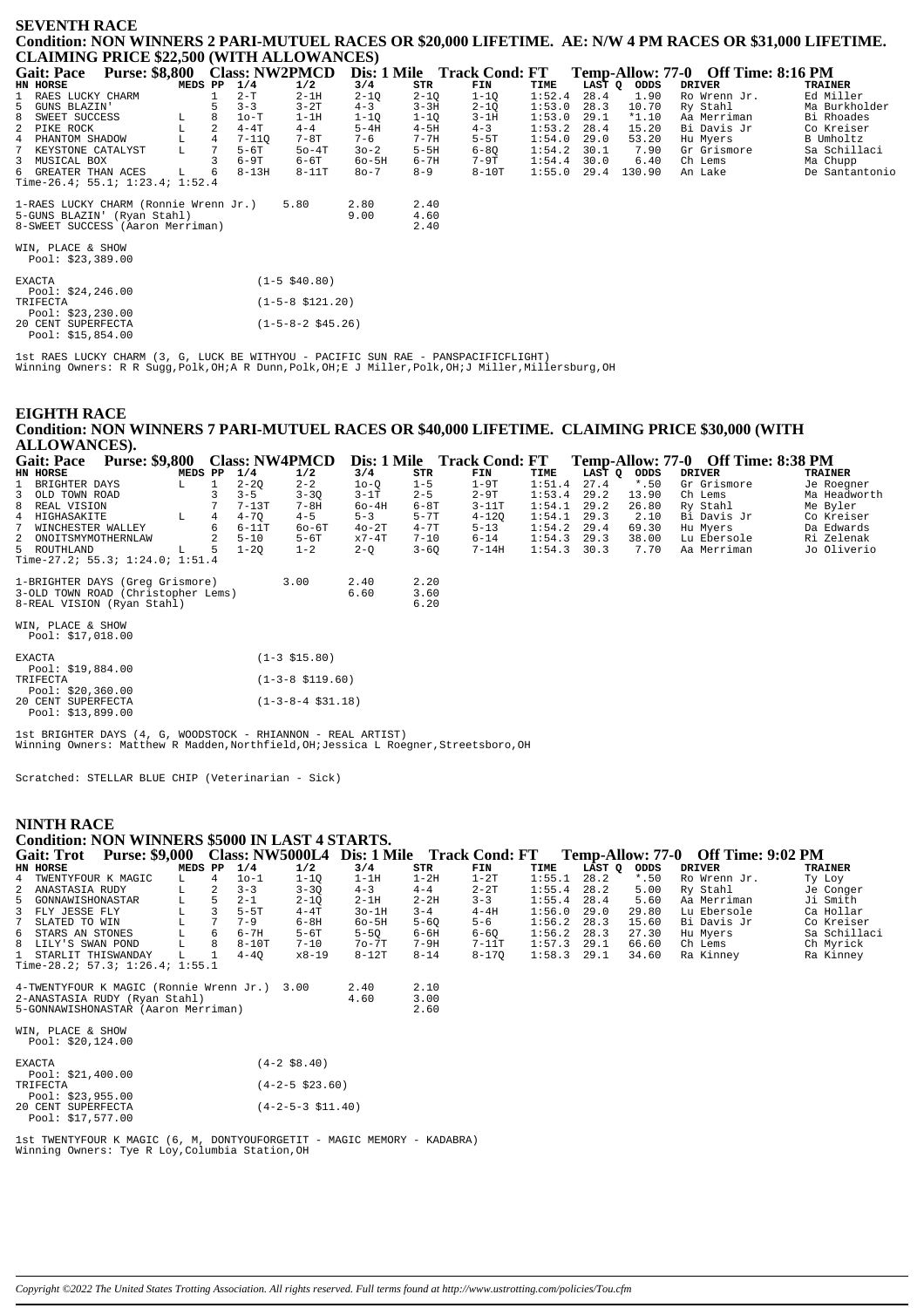#### **SEVENTH RACE** Condition: NON WINNERS 2 PARI-MUTUEL RACES OR \$20,000 LIFETIME. AE: N/W 4 PM RACES OR \$31,000 LIFETIME. **CLAIMING PRICE \$22,500 (WITH ALLOWANCES)**

| <b>Gait: Pace</b>                     | <b>Purse: \$8,800</b> |         |           | <b>Class: NW2PMCD</b> |           |          | Dis: 1 Mile Track Cond: FT |        |        |         | Temp-Allow: 77-0 Off Time: 8:16 PM |                |
|---------------------------------------|-----------------------|---------|-----------|-----------------------|-----------|----------|----------------------------|--------|--------|---------|------------------------------------|----------------|
| HN HORSE                              |                       | MEDS PP | 1/4       | 1/2                   | 3/4       | STR      | FIN                        | TIME   | LAST Q | ODDS    | <b>DRIVER</b>                      | TRAINER        |
| 1 RAES LUCKY CHARM                    |                       |         | $2-T$     | $2-1H$                | $2 - 1Q$  | $2 - 1Q$ | $1 - 10$                   | 1:52.4 | 28.4   | 1.90    | Ro Wrenn Jr.                       | Ed Miller      |
| 5 GUNS BLAZIN'                        |                       |         | $3 - 3$   | $3-2T$                | $4 - 3$   | $3 - 3H$ | $2 - 1Q$                   | 1:53.0 | 28.3   | 10.70   | Ry Stahl                           | Ma Burkholder  |
| 8 SWEET SUCCESS                       | L.                    |         | $1o-T$    | $1-1H$                | $1 - 10$  | $1 - 1Q$ | $3-1H$                     | 1:53.0 | 29.1   | $*1.10$ | Aa Merriman                        | Bi Rhoades     |
| 2 PIKE ROCK                           | L                     |         | $4 - 4T$  | $4 - 4$               | $5-4H$    | $4-5H$   | $4 - 3$                    | 1:53.2 | 28.4   | 15.20   | Bi Davis Jr                        | Co Kreiser     |
| 4 PHANTOM SHADOW                      | г                     |         | $7 - 110$ | 7-8T                  | $7 - 6$   | $7 - 7H$ | $5-5T$                     | 1:54.0 | 29.0   | 53.20   | Hu Myers                           | B Umholtz      |
| 7 KEYSTONE CATALYST                   | L                     |         | $5-6T$    | $50 - 4T$             | $30 - 2$  | $5-5H$   | $6 - 80$                   | 1:54.2 | 30.1   | 7.90    | Gr Grismore                        | Sa Schillaci   |
| 3 MUSICAL BOX                         |                       |         | 6-9T      | 6-6T                  | $60 - 5H$ | $6 - 7H$ | 7-9T                       | 1:54.4 | 30.0   | 6.40    | Ch Lems                            | Ma Chupp       |
| 6 GREATER THAN ACES                   | L                     | -6      | $8 - 13H$ | $8-11T$               | 80-7      | $8 - 9$  | $8-10T$                    | 1:55.0 | 29.4   | 130.90  | An Lake                            | De Santantonio |
| Time-26.4; 55.1; $1:23.4$ ; $1:52.4$  |                       |         |           |                       |           |          |                            |        |        |         |                                    |                |
| 1-RAES LUCKY CHARM (Ronnie Wrenn Jr.) |                       |         |           | 5.80                  | 2.80      | 2.40     |                            |        |        |         |                                    |                |
| 5-GUNS BLAZIN' (Ryan Stahl)           |                       |         |           |                       | 9.00      | 4.60     |                            |        |        |         |                                    |                |
| 8-SWEET SUCCESS (Aaron Merriman)      |                       |         |           |                       |           | 2.40     |                            |        |        |         |                                    |                |
|                                       |                       |         |           |                       |           |          |                            |        |        |         |                                    |                |
| WIN, PLACE & SHOW                     |                       |         |           |                       |           |          |                            |        |        |         |                                    |                |
| Pool: \$23,389.00                     |                       |         |           |                       |           |          |                            |        |        |         |                                    |                |
|                                       |                       |         |           |                       |           |          |                            |        |        |         |                                    |                |
| <b>EXACTA</b>                         |                       |         |           | $(1-5 \ $40.80)$      |           |          |                            |        |        |         |                                    |                |
| Pool: \$24,246.00                     |                       |         |           |                       |           |          |                            |        |        |         |                                    |                |
| TRIFECTA                              |                       |         |           | $(1-5-8 \; $121.20)$  |           |          |                            |        |        |         |                                    |                |
| Pool: \$23,230.00                     |                       |         |           |                       |           |          |                            |        |        |         |                                    |                |
| 20 CENT SUPERFECTA                    |                       |         |           | $(1-5-8-2 \ $45.26)$  |           |          |                            |        |        |         |                                    |                |
| Pool: $$15,854.00$                    |                       |         |           |                       |           |          |                            |        |        |         |                                    |                |

lst RAES LUCKY CHARM (3, G, LUCK BE WITHYOU - PACIFIC SUN RAE - PANSPACIFICFLIGHT)<br>Winning Owners: R R Sugg,Polk,OH;A R Dunn,Polk,OH;E J Miller,Polk,OH;J Miller,Millersburg,OH

#### **EIGHTH RACE** Condition: NON WINNERS 7 PARI-MUTUEL RACES OR \$40,000 LIFETIME. CLAIMING PRICE \$30,000 (WITH ALLOWANCES).

| <b>Purse: \$9,800</b><br><b>Gait: Pace</b> |               | <b>Class: NW4PMCD</b>       | Dis: 1 Mile |          | <b>Track Cond: FT</b> |        |        |         | Temp-Allow: 77-0 Off Time: 8:38 PM |                |
|--------------------------------------------|---------------|-----------------------------|-------------|----------|-----------------------|--------|--------|---------|------------------------------------|----------------|
| HN HORSE<br>MEDS PP                        | 1/4           | 1/2                         | 3/4         | STR      | FIN                   | TIME   | LAST Q | ODDS    | <b>DRIVER</b>                      | <b>TRAINER</b> |
| $\mathbf{1}$<br>BRIGHTER DAYS<br>L.        | $2 - 2Q$      | $2 - 2$                     | $10-0$      | $1 - 5$  | $1-9T$                | 1:51.4 | 27.4   | $*$ .50 | Gr Grismore                        | Je Roegner     |
| 3 OLD TOWN ROAD                            | $3 - 5$       | $3 - 3Q$                    | $3-1T$      | $2 - 5$  | $2 - 9T$              | 1:53.4 | 29.2   | 13.90   | Ch Lems                            | Ma Headworth   |
| REAL VISION<br>8                           |               | $7-13T$<br>$7 - 8H$         | $60-4H$     | $6-8T$   | $3 - 11T$             | 1:54.1 | 29.2   | 26.80   | Ry Stahl                           | Me Byler       |
| 4 HIGHASAKITE<br>L                         | $4 - 70$<br>4 | $4 - 5$                     | $5 - 3$     | $5 - 7T$ | $4 - 120$             | 1:54.1 | 29.3   | 2.10    | Bi Davis Jr                        | Co Kreiser     |
| 7<br>WINCHESTER WALLEY                     | 6             | $6 - 11T$<br>$60 - 6T$      | $40-2T$     | $4 - 7T$ | $5 - 13$              | 1:54.2 | 29.4   | 69.30   | Hu Myers                           | Da Edwards     |
| 2 ONOITSMYMOTHERNLAW                       | $5 - 10$      | $5-6T$                      | $x7-4T$     | $7 - 10$ | $6 - 14$              | 1:54.3 | 29.3   | 38.00   | Lu Ebersole                        | Ri Zelenak     |
| 5 ROUTHLAND<br>L                           | $1 - 20$<br>5 | $1 - 2$                     | $2-Q$       | $3 - 60$ | $7 - 14H$             | 1:54.3 | 30.3   | 7.70    | Aa Merriman                        | Jo Oliverio    |
| Time-27.2; 55.3; $1:24.0; 1:51.4$          |               |                             |             |          |                       |        |        |         |                                    |                |
| 1-BRIGHTER DAYS (Greq Grismore)            |               | 3.00                        | 2.40        | 2.20     |                       |        |        |         |                                    |                |
| 3-OLD TOWN ROAD (Christopher Lems)         |               |                             | 6.60        | 3.60     |                       |        |        |         |                                    |                |
| 8-REAL VISION (Ryan Stahl)                 |               |                             |             | 6.20     |                       |        |        |         |                                    |                |
|                                            |               |                             |             |          |                       |        |        |         |                                    |                |
| WIN, PLACE & SHOW                          |               |                             |             |          |                       |        |        |         |                                    |                |
| Pool: \$17,018.00                          |               |                             |             |          |                       |        |        |         |                                    |                |
| <b>EXACTA</b>                              |               | $(1-3 \; $15.80)$           |             |          |                       |        |        |         |                                    |                |
| Pool: $$19,884.00$                         |               |                             |             |          |                       |        |        |         |                                    |                |
| TRIFECTA                                   |               | $(1-3-8 \; \text{$119.60})$ |             |          |                       |        |        |         |                                    |                |
| Pool: $$20,360.00$                         |               |                             |             |          |                       |        |        |         |                                    |                |
| 20 CENT SUPERFECTA                         |               | $(1-3-8-4 \ $31.18)$        |             |          |                       |        |        |         |                                    |                |
| Pool: \$13,899.00                          |               |                             |             |          |                       |        |        |         |                                    |                |

1st BRIGHTER DAYS (4, G, WOODSTOCK - RHIANNON - REAL ARTIST)<br>Winning Owners: Matthew R Madden, Northfield, OH; Jessica L Roegner, Streetsboro, OH

Scratched: STELLAR BLUE CHIP (Veterinarian - Sick)

### **NINTH RACE**

|               | nin in Kaci          |                                                                      |         |   |          |                              |           |          |           |        |        |         |                                    |                |
|---------------|----------------------|----------------------------------------------------------------------|---------|---|----------|------------------------------|-----------|----------|-----------|--------|--------|---------|------------------------------------|----------------|
|               |                      | Condition: NON WINNERS \$5000 IN LAST 4 STARTS.                      |         |   |          |                              |           |          |           |        |        |         |                                    |                |
|               |                      | Gait: Trot Purse: \$9,000 Class: NW5000L4 Dis: 1 Mile Track Cond: FT |         |   |          |                              |           |          |           |        |        |         | Temp-Allow: 77-0 Off Time: 9:02 PM |                |
|               | HN HORSE             |                                                                      | MEDS PP |   | 1/4      | 1/2                          | 3/4       | STR      | FIN       | TIME   | LĀST Q | ODDS    | <b>DRIVER</b>                      | <b>TRAINER</b> |
|               | 4 TWENTYFOUR K MAGIC |                                                                      | L       | 4 | $10-1$   | $1 - 1Q$                     | $1-1H$    | $1-2H$   | $1-2T$    | 1:55.1 | 28.2   | $*$ .50 | Ro Wrenn Jr.                       | Ty Loy         |
| 2             | ANASTASIA RUDY       |                                                                      | L       | 2 | $3 - 3$  | $3 - 3Q$                     | $4 - 3$   | $4 - 4$  | $2 - 2T$  | 1:55.4 | 28.2   | 5.00    | Ry Stahl                           | Je Conger      |
| 5.            | GONNAWISHONASTAR     |                                                                      | L       |   | $2 - 1$  | $2 - 1Q$                     | $2-1H$    | $2 - 2H$ | $3 - 3$   | 1:55.4 | 28.4   | 5.60    | Aa Merriman                        | Ji Smith       |
|               | 3 FLY JESSE FLY      |                                                                      |         |   | $5-5T$   | $4 - 4T$                     | $3o-1H$   | $3 - 4$  | $4-4H$    | 1:56.0 | 29.0   | 29.80   | Lu Ebersole                        | Ca Hollar      |
|               | SLATED TO WIN        |                                                                      |         | 7 | $7 - 9$  | $6-8H$                       | $60 - 5H$ | $5 - 60$ | $5 - 6$   | 1:56.2 | 28.3   | 15.60   | Bi Davis Jr                        | Co Kreiser     |
| 6             | STARS AN STONES      |                                                                      | г       | 6 | $6 - 7H$ | $5-6T$                       | $5-5Q$    | 6-6H     | $6 - 6Q$  | 1:56.2 | 28.3   | 27.30   | Hu Myers                           | Sa Schillaci   |
|               | 8 LILY'S SWAN POND   |                                                                      |         | 8 | $8-10T$  | $7 - 10$                     | $7o-7T$   | 7-9H     | $7-11T$   | 1:57.3 | 29.1   | 66.60   | Ch Lems                            | Ch Myrick      |
| $\mathbf{1}$  | STARLIT THISWANDAY   |                                                                      |         |   | $4 - 40$ | $x8 - 19$                    | $8-12T$   | $8 - 14$ | $8 - 170$ | 1:58.3 | 29.1   | 34.60   | Ra Kinney                          | Ra Kinney      |
|               |                      | Time-28.2; $57.3$ ; $1:26.4$ ; $1:55.1$                              |         |   |          |                              |           |          |           |        |        |         |                                    |                |
|               |                      | 4-TWENTYFOUR K MAGIC (Ronnie Wrenn Jr.) 3.00                         |         |   |          |                              | 2.40      | 2.10     |           |        |        |         |                                    |                |
|               |                      | 2-ANASTASIA RUDY (Ryan Stahl)                                        |         |   |          |                              | 4.60      | 3.00     |           |        |        |         |                                    |                |
|               |                      | 5-GONNAWISHONASTAR (Aaron Merriman)                                  |         |   |          |                              |           | 2.60     |           |        |        |         |                                    |                |
|               |                      |                                                                      |         |   |          |                              |           |          |           |        |        |         |                                    |                |
|               | WIN, PLACE & SHOW    |                                                                      |         |   |          |                              |           |          |           |        |        |         |                                    |                |
|               | Pool: $$20,124.00$   |                                                                      |         |   |          |                              |           |          |           |        |        |         |                                    |                |
|               |                      |                                                                      |         |   |          |                              |           |          |           |        |        |         |                                    |                |
| <b>EXACTA</b> |                      |                                                                      |         |   |          | $(4-2$ \$8.40)               |           |          |           |        |        |         |                                    |                |
|               | Pool: $$21,400.00$   |                                                                      |         |   |          |                              |           |          |           |        |        |         |                                    |                |
|               | TRIFECTA             |                                                                      |         |   |          | $(4-2-5 \; $23.60)$          |           |          |           |        |        |         |                                    |                |
|               | Pool: $$23,955.00$   |                                                                      |         |   |          |                              |           |          |           |        |        |         |                                    |                |
|               | 20 CENT SUPERFECTA   |                                                                      |         |   |          | $(4-2-5-3 \; \text{S11.40})$ |           |          |           |        |        |         |                                    |                |
|               | Pool: \$17,577.00    |                                                                      |         |   |          |                              |           |          |           |        |        |         |                                    |                |

Ist TWENTYFOUR K MAGIC (6, M, DONTYOUFORGETIT - MAGIC MEMORY - KADABRA)<br>Winning Owners: Tye R Loy, Columbia Station, OH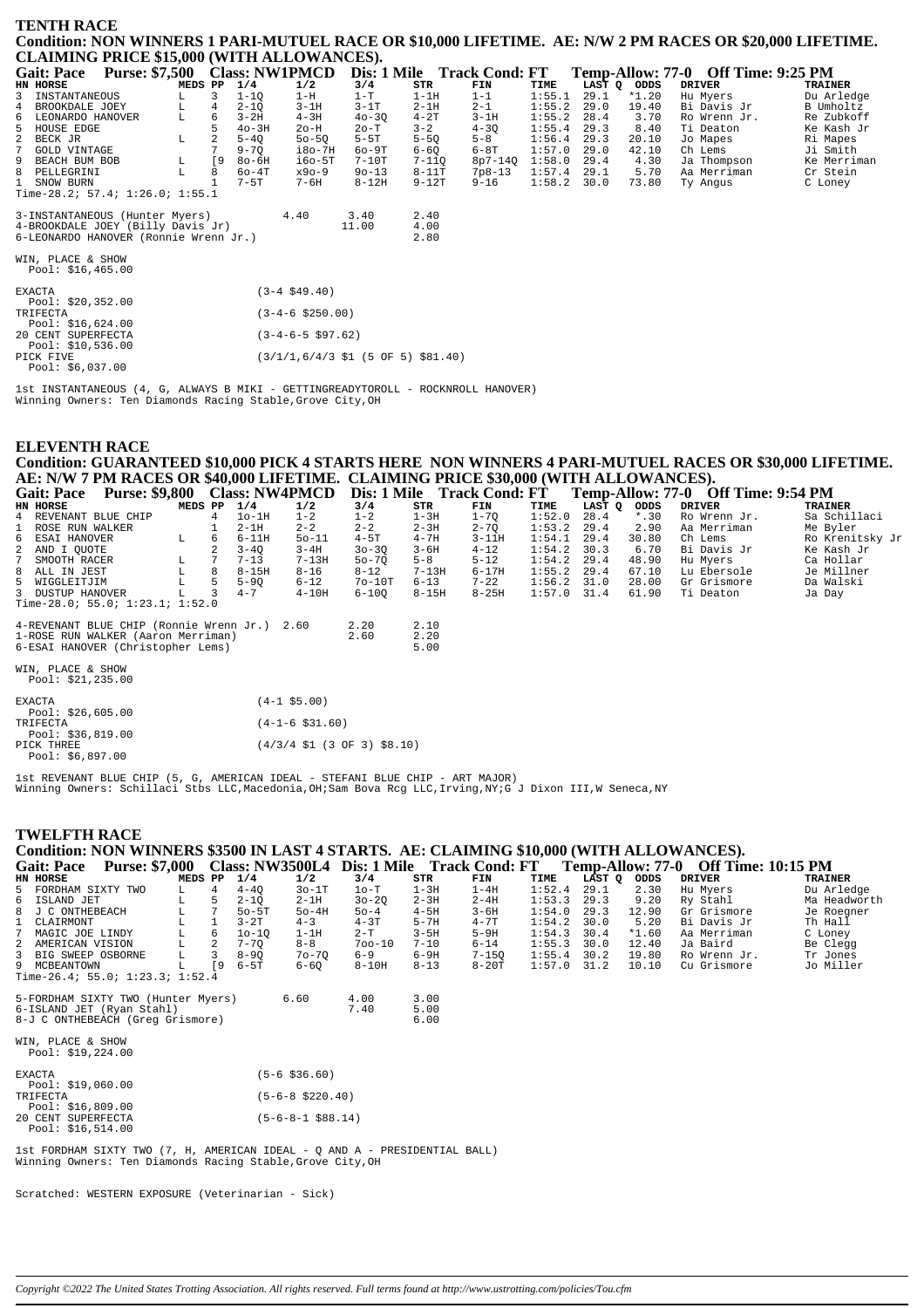#### **TENTH RACE** Condition: NON WINNERS 1 PARI-MUTUEL RACE OR \$10,000 LIFETIME. AE: N/W 2 PM RACES OR \$20,000 LIFETIME. CLAIMING DRICE \$15 000 (WITH ALLOWANCES)

|                                       | CLAIMING I MCL \$19,000 (WITH ALLO WANTCL), |         |    |           |                      |           |                                                                         |                            |        |      |             |                                    |                |
|---------------------------------------|---------------------------------------------|---------|----|-----------|----------------------|-----------|-------------------------------------------------------------------------|----------------------------|--------|------|-------------|------------------------------------|----------------|
| <b>Gait: Pace</b>                     | Purse: \$7,500 Class: NW1PMCD               |         |    |           |                      |           |                                                                         | Dis: 1 Mile Track Cond: FT |        |      |             | Temp-Allow: 77-0 Off Time: 9:25 PM |                |
| <b>HN HORSE</b>                       |                                             | MEDS PP |    | 1/4       | 1/2                  | 3/4       | <b>STR</b>                                                              | FIN                        | TIME   |      | LAST Q ODDS | <b>DRIVER</b>                      | <b>TRAINER</b> |
| 3<br>INSTANTANEOUS                    |                                             | L       | 3  | $1 - 1Q$  | $1-H$                | $1-T$     | $1-1H$                                                                  | $1 - 1$                    | 1:55.1 | 29.1 | $*1.20$     | Hu Myers                           | Du Arledge     |
| 4 BROOKDALE JOEY                      |                                             | L       | 4  | $2 - 1Q$  | $3-1H$               | $3-1T$    | $2-1H$                                                                  | $2 - 1$                    | 1:55.2 | 29.0 | 19.40       | Bi Davis Jr                        | B Umholtz      |
| 6<br>LEONARDO HANOVER                 |                                             | L       | 6  | $3-2H$    | $4 - 3H$             | $40 - 30$ | $4-2T$                                                                  | $3-1H$                     | 1:55.2 | 28.4 | 3.70        | Ro Wrenn Jr.                       | Re Zubkoff     |
| 5<br>HOUSE EDGE                       |                                             |         |    | $40-3H$   | $2o-H$               | $2o-T$    | $3 - 2$                                                                 | $4 - 30$                   | 1:55.4 | 29.3 | 8.40        | Ti Deaton                          | Ke Kash Jr     |
| $\overline{a}$<br>BECK JR             |                                             | L       |    | $5 - 4Q$  | $50 - 5Q$            | $5-5T$    | $5-5Q$                                                                  | $5 - 8$                    | 1:56.4 | 29.3 | 20.10       | Jo Mapes                           | Ri Mapes       |
| 7 <sup>7</sup><br><b>GOLD VINTAGE</b> |                                             |         |    | $9 - 70$  | i8o-7H               | $60 - 9T$ | $6 - 60$                                                                | $6-8T$                     | 1:57.0 | 29.0 | 42.10       | Ch Lems                            | Ji Smith       |
| 9<br>BEACH BUM BOB                    |                                             | L       | [9 | $80-6H$   | $i60-5T$             | $7-10T$   | $7 - 110$                                                               | $8p7 - 14Q$                | 1:58.0 | 29.4 | 4.30        | Ja Thompson                        | Ke Merriman    |
| 8 PELLEGRINI                          |                                             | L       | 8  | $60 - 4T$ | x90-9                | $90 - 13$ | $8-11T$                                                                 | $7p8-13$                   | 1:57.4 | 29.1 | 5.70        | Aa Merriman                        | Cr Stein       |
| 1 SNOW BURN                           |                                             |         |    | $7 - 5T$  | $7 - 6H$             | $8 - 12H$ | $9-12T$                                                                 | $9 - 16$                   | 1:58.2 | 30.0 | 73.80       | Ty Angus                           | C Loney        |
|                                       | Time-28.2; 57.4; 1:26.0; 1:55.1             |         |    |           |                      |           |                                                                         |                            |        |      |             |                                    |                |
|                                       |                                             |         |    |           |                      |           |                                                                         |                            |        |      |             |                                    |                |
|                                       | 3-INSTANTANEOUS (Hunter Myers)              |         |    |           | 4.40                 | 3.40      | 2.40                                                                    |                            |        |      |             |                                    |                |
|                                       | 4-BROOKDALE JOEY (Billy Davis Jr)           |         |    |           |                      | 11.00     | 4.00                                                                    |                            |        |      |             |                                    |                |
|                                       | 6-LEONARDO HANOVER (Ronnie Wrenn Jr.)       |         |    |           |                      |           | 2.80                                                                    |                            |        |      |             |                                    |                |
|                                       |                                             |         |    |           |                      |           |                                                                         |                            |        |      |             |                                    |                |
| WIN, PLACE & SHOW                     |                                             |         |    |           |                      |           |                                                                         |                            |        |      |             |                                    |                |
| Pool: $$16,465.00$                    |                                             |         |    |           |                      |           |                                                                         |                            |        |      |             |                                    |                |
|                                       |                                             |         |    |           |                      |           |                                                                         |                            |        |      |             |                                    |                |
| <b>EXACTA</b>                         |                                             |         |    |           | $(3-4 \, $49.40)$    |           |                                                                         |                            |        |      |             |                                    |                |
| Pool: \$20,352.00                     |                                             |         |    |           |                      |           |                                                                         |                            |        |      |             |                                    |                |
| TRIFECTA                              |                                             |         |    |           | $(3-4-6 \; $250.00)$ |           |                                                                         |                            |        |      |             |                                    |                |
| Pool: $$16,624.00$                    |                                             |         |    |           |                      |           |                                                                         |                            |        |      |             |                                    |                |
| 20 CENT SUPERFECTA                    |                                             |         |    |           | $(3-4-6-5 \ $97.62)$ |           |                                                                         |                            |        |      |             |                                    |                |
| Pool: \$10,536.00                     |                                             |         |    |           |                      |           |                                                                         |                            |        |      |             |                                    |                |
| PICK FIVE                             |                                             |         |    |           |                      |           | $(3/1/1, 6/4/3 \; \text{S1} \; (5 \; \text{OF} \; 5) \; \text{S81.40})$ |                            |        |      |             |                                    |                |
| Pool: \$6.037.00                      |                                             |         |    |           |                      |           |                                                                         |                            |        |      |             |                                    |                |

1st INSTANTANEOUS (4, G, ALWAYS B MIKI - GETTINGREADYTOROLL - ROCKNROLL HANOVER) Winning Owners: Ten Diamonds Racing Stable, Grove City, OH

## **ELEVENTH RACE** Condition: GUARANTEED \$10,000 PICK 4 STARTS HERE NON WINNERS 4 PARI-MUTUEL RACES OR \$30,000 LIFETIME. AE: N/W 7 PM RACES OR \$40,000 LIFETIME. CLAIMING PRICE \$30,000 (WITH ALLOWANCES).<br>Gait: Pace Purse: \$9,800 Class: NW4PMCD Dis: 1 Mile Track Cond: FT Temp-Allow: 77-0 Off Time: 9:54 PM

| Gail: Face<br><b>EULSE: \$2,000 CRASS: IN WHE MICD</b> |         |    |          |                     |           |           | DIS: I MINE ITACK CONG: F I |               |        |         | $1$ emp-Allow; $77$ - $0$ On Three $9.54$ FM |                 |
|--------------------------------------------------------|---------|----|----------|---------------------|-----------|-----------|-----------------------------|---------------|--------|---------|----------------------------------------------|-----------------|
| HN HORSE                                               | MEDS PP |    | 1/4      | 1/2                 | 3/4       | STR       | FIN                         | TIME          | LAST Q | ODDS    | DRIVER                                       | TRAINER         |
| 4 REVENANT BLUE CHIP                                   |         | 4  | $10-1H$  | $1 - 2$             | $1 - 2$   | $1-3H$    | $1 - 70$                    | 1:52.0        | 28.4   | $*$ .30 | Ro Wrenn Jr.                                 | Sa Schillaci    |
| ROSE RUN WALKER                                        |         |    | 2-1H     | $2 - 2$             | $2 - 2$   | $2 - 3H$  | $2 - 7Q$                    | 1:53.2        | 29.4   | 2.90    | Aa Merriman                                  | Me Byler        |
| 6 ESAI HANOVER                                         | L       | 6  | $6-11H$  | $50 - 11$           | $4-5T$    | $4 - 7H$  | $3 - 11H$                   | 1:54.1        | 29.4   | 30.80   | Ch Lems                                      | Ro Krenitsky Jr |
| 2 AND I OUOTE                                          |         | 2  | $3 - 40$ | $3 - 4H$            | $30 - 30$ | $3 - 6H$  | $4 - 12$                    | 1:54.2        | 30.3   | 6.70    | Bi Davis Jr                                  | Ke Kash Jr      |
| 7 SMOOTH RACER                                         | L       |    | $7 - 13$ | $7 - 13H$           | $50 - 70$ | $5 - 8$   | $5 - 12$                    | 1:54.2        | 29.4   | 48.90   | Hu Myers                                     | Ca Hollar       |
| 8 ALL IN JEST                                          |         | 8  | $8-15H$  | $8 - 16$            | $8 - 12$  | $7 - 13H$ | $6 - 17H$                   | $1:55.2$ 29.4 |        | 67.10   | Lu Ebersole                                  | Je Millner      |
| 5 WIGGLEITJIM                                          |         | 5. | $5 - 90$ | $6 - 12$            | $70-10T$  | $6 - 13$  | $7 - 22$                    | $1:56.2$ 31.0 |        | 28.00   | Gr Grismore                                  | Da Walski       |
| 3 DUSTUP HANOVER                                       |         |    | $4 - 7$  | $4-10H$             | $6 - 100$ | 8-15H     | $8 - 25H$                   | $1:57.0$ 31.4 |        | 61.90   | Ti Deaton                                    | Ja Day          |
| Time-28.0; 55.0; $1:23.1; 1:52.0$                      |         |    |          |                     |           |           |                             |               |        |         |                                              |                 |
| 4-REVENANT BLUE CHIP (Ronnie Wrenn Jr.) 2.60           |         |    |          |                     | 2.20      | 2.10      |                             |               |        |         |                                              |                 |
| 1-ROSE RUN WALKER (Aaron Merriman)                     |         |    |          |                     | 2.60      | 2.20      |                             |               |        |         |                                              |                 |
| 6-ESAI HANOVER (Christopher Lems)                      |         |    |          |                     |           | 5.00      |                             |               |        |         |                                              |                 |
| WIN, PLACE & SHOW<br>Pool: $$21,235.00$                |         |    |          |                     |           |           |                             |               |        |         |                                              |                 |
| EXACTA<br>Pool: $$26,605.00$                           |         |    |          | $(4-1$ \$5.00)      |           |           |                             |               |        |         |                                              |                 |
| TRIFECTA<br>$D_{00}1: 226.819.00$                      |         |    |          | $(4-1-6 \; $31.60)$ |           |           |                             |               |        |         |                                              |                 |

Pool: \$36,819.00<br>PICK THREE  $(4/3/4 \text{ } 51 (3 \text{ } 0F 3) \text{ } $8.10)$ -ch 111655<br>Pool: \$6.897.00

lst REVENANT BLUE CHIP (5, G, AMERICAN IDEAL - STEFANI BLUE CHIP - ART MAJOR)<br>Winning Owners: Schillaci Stbs LLC,Macedonia,OH;Sam Bova Rcg LLC,Irving,NY;G J Dixon III,W Seneca,NY

### **TWELFTH RACE**

#### Condition: NON WINNERS \$3500 IN LAST 4 STARTS. AE: CLAIMING \$10,000 (WITH ALLOWANCES). Gait: Pace Purse: \$7,000 Class: NW3500L4 Dis: 1 Mile Track Cond: FT Temp-Allow: 77-0 Off Time: 10:15 PM

|                                 | van rav<br>$1$ alberta with $0$ |         |     |           |           |            |          | $\text{Class}$ . The sequent $\text{Class}$ is the sequence of $\text{I}$ |        |               |         | 10.000 TADOW: 77-0 OR THR. 10.10 TH |                |
|---------------------------------|---------------------------------|---------|-----|-----------|-----------|------------|----------|---------------------------------------------------------------------------|--------|---------------|---------|-------------------------------------|----------------|
|                                 | HN HORSE                        | MEDS PP |     | 1/4       | 1/2       | 3/4        | STR      | FIN                                                                       | TIME   | LAST Q        | ODDS    | DRIVER                              | <b>TRAINER</b> |
|                                 | 5 FORDHAM SIXTY TWO             |         | 4   | $4 - 40$  | 30-1T     | 10-T       | 1-3H     | 1-4H                                                                      | 1:52.4 | 29.1          | 2.30    | Hu Mvers                            | Du Arledge     |
|                                 | 6 ISLAND JET                    | L       | .5. | $2 - 10$  | $2-1H$    | $30 - 20$  | $2 - 3H$ | $2 - 4H$                                                                  | 1:53.3 | 29.3          | 9.20    | Ry Stahl                            | Ma Headworth   |
|                                 | 8 J C ONTHEBEACH                | L.      |     | $50 - 5T$ | $50-4H$   | $50 - 4$   | $4-5H$   | $3 - 6H$                                                                  | 1:54.0 | 29.3          | 12.90   | Gr Grismore                         | Je Roegner     |
|                                 | 1 CLAIRMONT                     |         |     | $3 - 2T$  | $4 - 3$   | $4-3T$     | $5 - 7H$ | $4 - 7T$                                                                  | 1:54.2 | 30.0          | 5.20    | Bi Davis Jr                         | Th Hall        |
|                                 | 7 MAGIC JOE LINDY               |         | 6   | $10 - 10$ | $1-1H$    | $2-T$      | $3-5H$   | $5-9H$                                                                    |        | $1:54.3$ 30.4 | $*1.60$ | Aa Merriman                         | C Loney        |
|                                 | 2 AMERICAN VISION               |         |     | $7 - 70$  | $8 - 8$   | $700 - 10$ | $7 - 10$ | $6 - 14$                                                                  | 1:55.3 | 30.0          | 12.40   | Ja Baird                            | Be Clegg       |
|                                 | 3 BIG SWEEP OSBORNE             |         |     | $8 - 90$  | $70 - 70$ | $6 - 9$    | $6-9H$   | $7 - 150$                                                                 | 1:55.4 | 30.2          | 19.80   | Ro Wrenn Jr.                        | Tr Jones       |
|                                 | 9 MCBEANTOWN                    |         | - 9 | 6-5T      | 6-60      | $8-10H$    | $8 - 13$ | $8-20T$                                                                   | 1:57.0 | 31.2          | 10.10   | Cu Grismore                         | Jo Miller      |
| Time-26.4; 55.0; 1:23.3; 1:52.4 |                                 |         |     |           |           |            |          |                                                                           |        |               |         |                                     |                |

| 5-FORDHAM SIXTY TWO (Hunter Myers)<br>6-ISLAND JET (Ryan Stahl)<br>8-J C ONTHEBEACH (Greq Grismore) | 6.60 | 4.00<br>7.40 | 3.00<br>5.00<br>6.00 |
|-----------------------------------------------------------------------------------------------------|------|--------------|----------------------|
| WIN, PLACE & SHOW                                                                                   |      |              |                      |

| WIN, FLACL & SOUW  |  |  |  |
|--------------------|--|--|--|
| Pool: $$19,224.00$ |  |  |  |

| <b>EXACTA</b> |                    | $(5 - 6 \text{ } $36.60)$  |
|---------------|--------------------|----------------------------|
|               | Pool: \$19.060.00  |                            |
| TRIFECTA      |                    | $(5-6-8 \text{ } $220.40)$ |
|               | Pool: \$16,809.00  |                            |
|               | 20 CENT SUPERFECTA | $(5-6-8-1$ \$88.14)        |
|               | Pool: $$16.514.00$ |                            |

1st FORDHAM SIXTY TWO (7, H, AMERICAN IDEAL - Q AND A - PRESIDENTIAL BALL) Winning Owners: Ten Diamonds Racing Stable, Grove City, OH

Scratched: WESTERN EXPOSURE (Veterinarian - Sick)